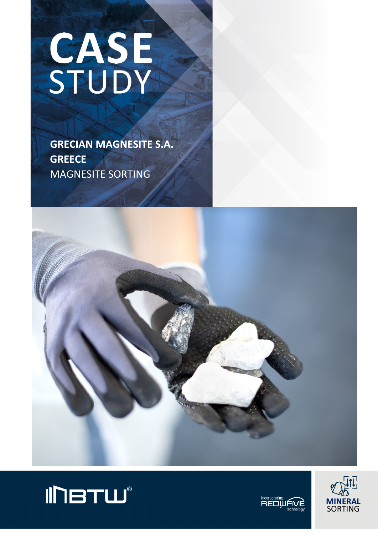# CASE

 **GRECIAN MAGNESITE S.A. GREECE** MAGNESITE SORTING







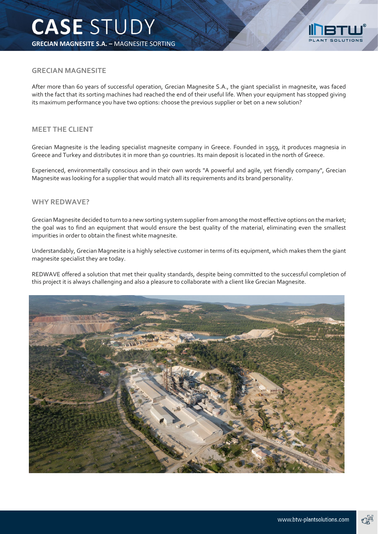

# **GRECIAN MAGNESITE**

After more than 60 years of successful operation, Grecian Magnesite S.A., the giant specialist in magnesite, was faced with the fact that its sorting machines had reached the end of their useful life. When your equipment has stopped giving its maximum performance you have two options: choose the previous supplier or bet on a new solution?

# **MEET THE CLIENT**

Grecian Magnesite is the leading specialist magnesite company in Greece. Founded in 1959, it produces magnesia in Greece and Turkey and distributes it in more than 50 countries. Its main deposit is located in the north of Greece.

Experienced, environmentally conscious and in their own words "A powerful and agile, yet friendly company", Grecian Magnesite was looking for a supplier that would match all its requirements and its brand personality.

### **WHY REDWAVE?**

Grecian Magnesite decided to turn to a new sorting system supplier from among the most effective options on the market; the goal was to find an equipment that would ensure the best quality of the material, eliminating even the smallest impurities in order to obtain the finest white magnesite.

Understandably, Grecian Magnesite is a highly selective customer in terms of its equipment, which makes them the giant magnesite specialist they are today.

REDWAVE offered a solution that met their quality standards, despite being committed to the successful completion of this project it is always challenging and also a pleasure to collaborate with a client like Grecian Magnesite.